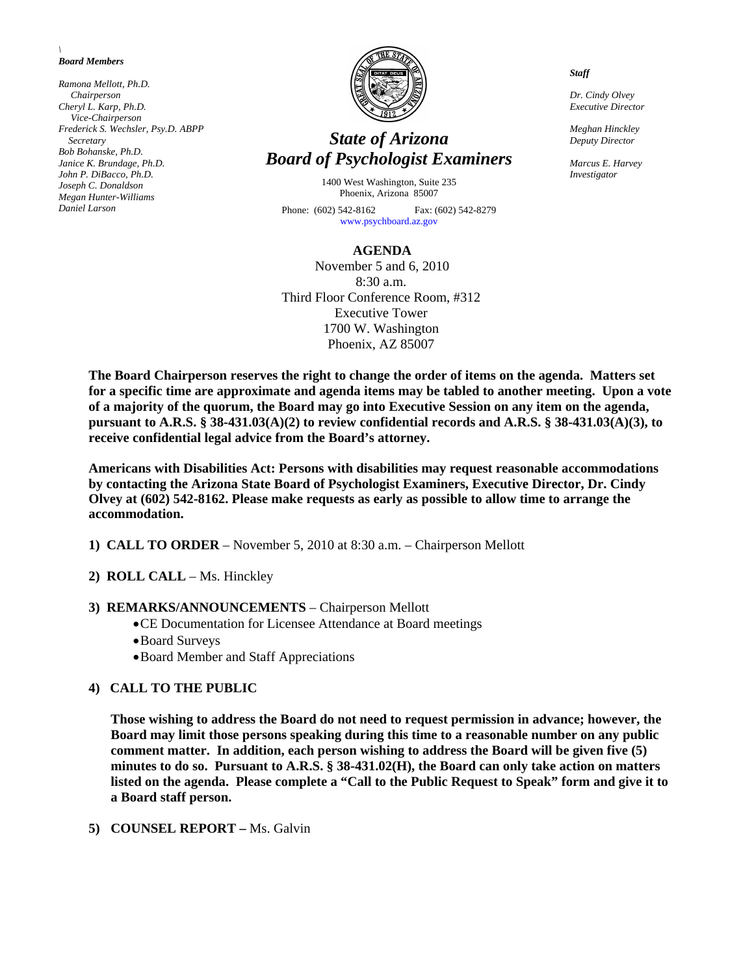#### *\ Board Members*

*Ramona Mellott, Ph.D. Chairperson Cheryl L. Karp, Ph.D. Vice-Chairperson Frederick S. Wechsler, Psy.D. ABPP Secretary Bob Bohanske, Ph.D. Janice K. Brundage, Ph.D. John P. DiBacco, Ph.D. Joseph C. Donaldson Megan Hunter-Williams Daniel Larson* 



# *State of Arizona Board of Psychologist Examiners*

1400 West Washington, Suite 235 Phoenix, Arizona 85007 Phone: (602) 542-8162 Fax: (602) 542-8279

[www.psychboard.az.gov](http://www.psychboard.az.gov/) 

#### **AGENDA**

November 5 and 6, 2010 8:30 a.m. Third Floor Conference Room, #312 Executive Tower 1700 W. Washington Phoenix, AZ 85007

**The Board Chairperson reserves the right to change the order of items on the agenda. Matters set for a specific time are approximate and agenda items may be tabled to another meeting. Upon a vote of a majority of the quorum, the Board may go into Executive Session on any item on the agenda, pursuant to A.R.S. § 38-431.03(A)(2) to review confidential records and A.R.S. § 38-431.03(A)(3), to receive confidential legal advice from the Board's attorney.** 

**Americans with Disabilities Act: Persons with disabilities may request reasonable accommodations by contacting the Arizona State Board of Psychologist Examiners, Executive Director, Dr. Cindy Olvey at (602) 542-8162. Please make requests as early as possible to allow time to arrange the accommodation.** 

- **1) CALL TO ORDER** November 5, 2010 at 8:30 a.m. Chairperson Mellott
- **2) ROLL CALL** Ms. Hinckley

#### **3) REMARKS/ANNOUNCEMENTS** – Chairperson Mellott

- CE Documentation for Licensee Attendance at Board meetings
- Board Surveys
- Board Member and Staff Appreciations

# **4) CALL TO THE PUBLIC**

**Those wishing to address the Board do not need to request permission in advance; however, the Board may limit those persons speaking during this time to a reasonable number on any public comment matter. In addition, each person wishing to address the Board will be given five (5) minutes to do so. Pursuant to A.R.S. § 38-431.02(H), the Board can only take action on matters listed on the agenda. Please complete a "Call to the Public Request to Speak" form and give it to a Board staff person.** 

#### **5) COUNSEL REPORT –** Ms. Galvin

*Staff* 

*Dr. Cindy Olvey Executive Director* 

*Meghan Hinckley Deputy Director* 

*Marcus E. Harvey Investigator*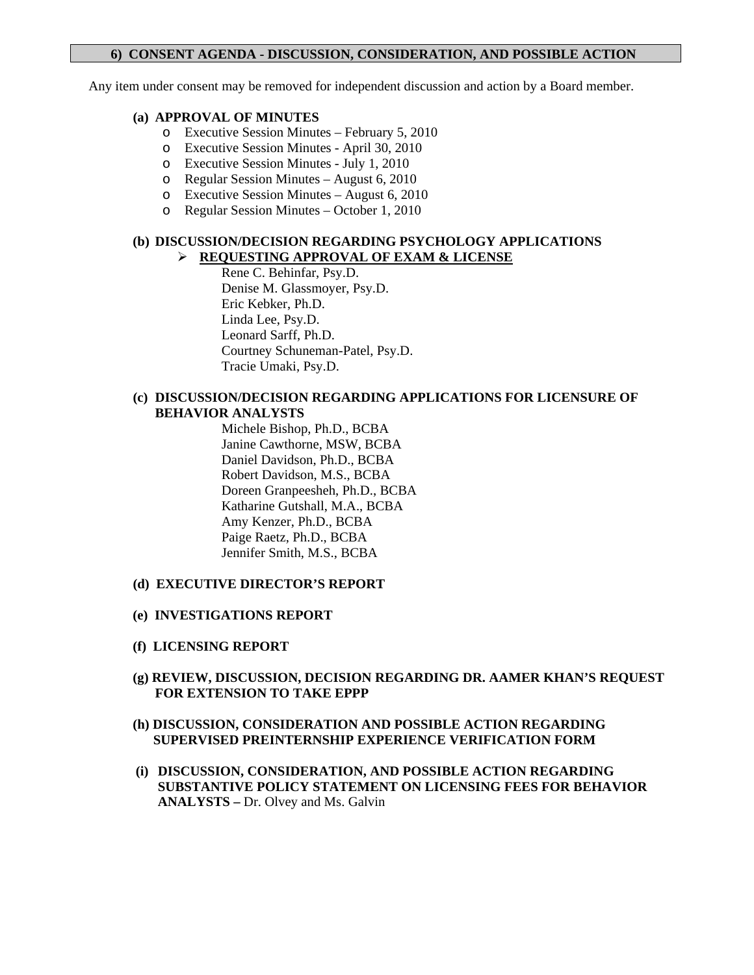# **6) CONSENT AGENDA - DISCUSSION, CONSIDERATION, AND POSSIBLE ACTION**

Any item under consent may be removed for independent discussion and action by a Board member.

#### **(a) APPROVAL OF MINUTES**

- o Executive Session Minutes February 5, 2010
- o Executive Session Minutes April 30, 2010
- o Executive Session Minutes July 1, 2010
- o Regular Session Minutes August 6, 2010
- o Executive Session Minutes August 6, 2010
- o Regular Session Minutes October 1, 2010

#### **(b) DISCUSSION/DECISION REGARDING PSYCHOLOGY APPLICATIONS REQUESTING APPROVAL OF EXAM & LICENSE**

 Rene C. Behinfar, Psy.D. Denise M. Glassmoyer, Psy.D. Eric Kebker, Ph.D. Linda Lee, Psy.D. Leonard Sarff, Ph.D. Courtney Schuneman-Patel, Psy.D. Tracie Umaki, Psy.D.

### **(c) DISCUSSION/DECISION REGARDING APPLICATIONS FOR LICENSURE OF BEHAVIOR ANALYSTS**

Michele Bishop, Ph.D., BCBA Janine Cawthorne, MSW, BCBA Daniel Davidson, Ph.D., BCBA Robert Davidson, M.S., BCBA Doreen Granpeesheh, Ph.D., BCBA Katharine Gutshall, M.A., BCBA Amy Kenzer, Ph.D., BCBA Paige Raetz, Ph.D., BCBA Jennifer Smith, M.S., BCBA

#### **(d) EXECUTIVE DIRECTOR'S REPORT**

- **(e) INVESTIGATIONS REPORT**
- **(f) LICENSING REPORT**
- **(g) REVIEW, DISCUSSION, DECISION REGARDING DR. AAMER KHAN'S REQUEST FOR EXTENSION TO TAKE EPPP**
- **(h) DISCUSSION, CONSIDERATION AND POSSIBLE ACTION REGARDING SUPERVISED PREINTERNSHIP EXPERIENCE VERIFICATION FORM**
- **(i) DISCUSSION, CONSIDERATION, AND POSSIBLE ACTION REGARDING SUBSTANTIVE POLICY STATEMENT ON LICENSING FEES FOR BEHAVIOR ANALYSTS –** Dr. Olvey and Ms. Galvin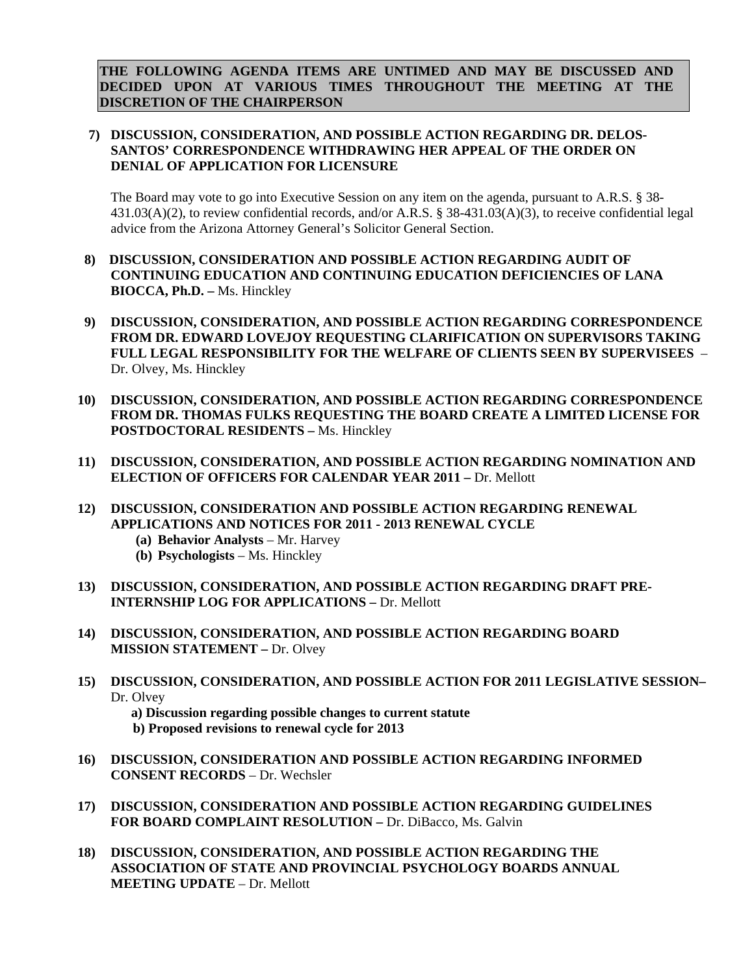**THE FOLLOWING AGENDA ITEMS ARE UNTIMED AND MAY BE DISCUSSED AND DECIDED UPON AT VARIOUS TIMES THROUGHOUT THE MEETING AT THE DISCRETION OF THE CHAIRPERSON** 

# **7) DISCUSSION, CONSIDERATION, AND POSSIBLE ACTION REGARDING DR. DELOS-SANTOS' CORRESPONDENCE WITHDRAWING HER APPEAL OF THE ORDER ON DENIAL OF APPLICATION FOR LICENSURE**

The Board may vote to go into Executive Session on any item on the agenda, pursuant to A.R.S. § 38- 431.03(A)(2), to review confidential records, and/or A.R.S. § 38-431.03(A)(3), to receive confidential legal advice from the Arizona Attorney General's Solicitor General Section.

- **8) DISCUSSION, CONSIDERATION AND POSSIBLE ACTION REGARDING AUDIT OF CONTINUING EDUCATION AND CONTINUING EDUCATION DEFICIENCIES OF LANA BIOCCA, Ph.D. –** Ms. Hinckley
- **9) DISCUSSION, CONSIDERATION, AND POSSIBLE ACTION REGARDING CORRESPONDENCE FROM DR. EDWARD LOVEJOY REQUESTING CLARIFICATION ON SUPERVISORS TAKING FULL LEGAL RESPONSIBILITY FOR THE WELFARE OF CLIENTS SEEN BY SUPERVISEES** – Dr. Olvey, Ms. Hinckley
- **10) DISCUSSION, CONSIDERATION, AND POSSIBLE ACTION REGARDING CORRESPONDENCE FROM DR. THOMAS FULKS REQUESTING THE BOARD CREATE A LIMITED LICENSE FOR POSTDOCTORAL RESIDENTS –** Ms. Hinckley
- **11) DISCUSSION, CONSIDERATION, AND POSSIBLE ACTION REGARDING NOMINATION AND ELECTION OF OFFICERS FOR CALENDAR YEAR 2011 - Dr. Mellott**
- **12) DISCUSSION, CONSIDERATION AND POSSIBLE ACTION REGARDING RENEWAL APPLICATIONS AND NOTICES FOR 2011 - 2013 RENEWAL CYCLE** 
	- **(a) Behavior Analysts**  Mr. Harvey
	- **(b) Psychologists**  Ms. Hinckley
- **13) DISCUSSION, CONSIDERATION, AND POSSIBLE ACTION REGARDING DRAFT PRE-INTERNSHIP LOG FOR APPLICATIONS –** Dr. Mellott
- **14) DISCUSSION, CONSIDERATION, AND POSSIBLE ACTION REGARDING BOARD MISSION STATEMENT – Dr. Olvey**
- **15) DISCUSSION, CONSIDERATION, AND POSSIBLE ACTION FOR 2011 LEGISLATIVE SESSION–**  Dr. Olvey

 **a) Discussion regarding possible changes to current statute b) Proposed revisions to renewal cycle for 2013**

- **16) DISCUSSION, CONSIDERATION AND POSSIBLE ACTION REGARDING INFORMED CONSENT RECORDS** – Dr. Wechsler
- **17) DISCUSSION, CONSIDERATION AND POSSIBLE ACTION REGARDING GUIDELINES FOR BOARD COMPLAINT RESOLUTION –** Dr. DiBacco, Ms. Galvin
- **18) DISCUSSION, CONSIDERATION, AND POSSIBLE ACTION REGARDING THE ASSOCIATION OF STATE AND PROVINCIAL PSYCHOLOGY BOARDS ANNUAL MEETING UPDATE** – Dr. Mellott